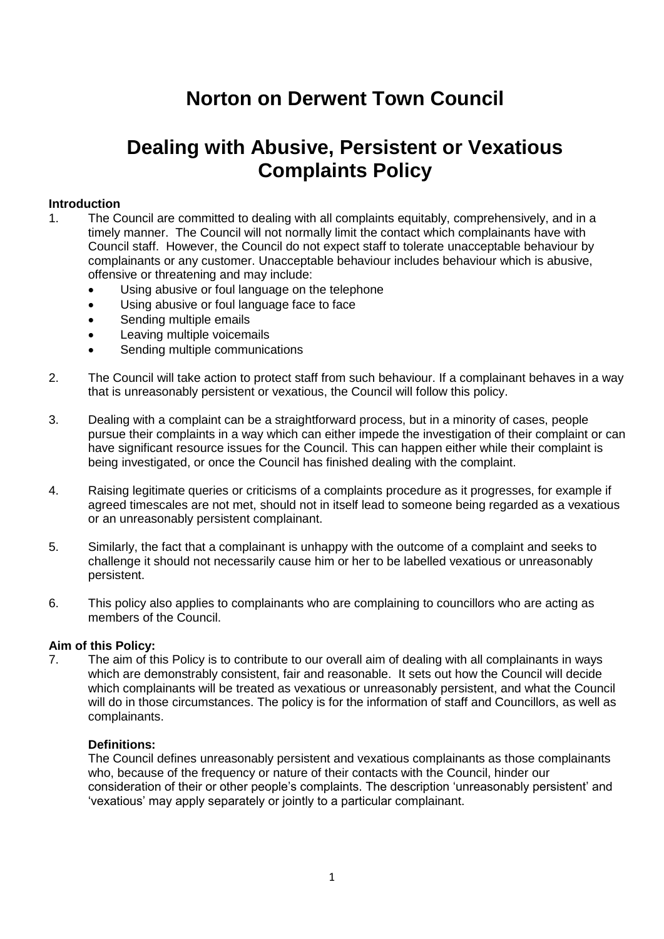# **Norton on Derwent Town Council**

# **Dealing with Abusive, Persistent or Vexatious Complaints Policy**

## **Introduction**

- 1. The Council are committed to dealing with all complaints equitably, comprehensively, and in a timely manner. The Council will not normally limit the contact which complainants have with Council staff. However, the Council do not expect staff to tolerate unacceptable behaviour by complainants or any customer. Unacceptable behaviour includes behaviour which is abusive, offensive or threatening and may include:
	- Using abusive or foul language on the telephone
	- Using abusive or foul language face to face
	- Sending multiple emails
	- Leaving multiple voicemails
	- Sending multiple communications
- 2. The Council will take action to protect staff from such behaviour. If a complainant behaves in a way that is unreasonably persistent or vexatious, the Council will follow this policy.
- 3. Dealing with a complaint can be a straightforward process, but in a minority of cases, people pursue their complaints in a way which can either impede the investigation of their complaint or can have significant resource issues for the Council. This can happen either while their complaint is being investigated, or once the Council has finished dealing with the complaint.
- 4. Raising legitimate queries or criticisms of a complaints procedure as it progresses, for example if agreed timescales are not met, should not in itself lead to someone being regarded as a vexatious or an unreasonably persistent complainant.
- 5. Similarly, the fact that a complainant is unhappy with the outcome of a complaint and seeks to challenge it should not necessarily cause him or her to be labelled vexatious or unreasonably persistent.
- 6. This policy also applies to complainants who are complaining to councillors who are acting as members of the Council.

## **Aim of this Policy:**

7. The aim of this Policy is to contribute to our overall aim of dealing with all complainants in ways which are demonstrably consistent, fair and reasonable. It sets out how the Council will decide which complainants will be treated as vexatious or unreasonably persistent, and what the Council will do in those circumstances. The policy is for the information of staff and Councillors, as well as complainants.

## **Definitions:**

The Council defines unreasonably persistent and vexatious complainants as those complainants who, because of the frequency or nature of their contacts with the Council, hinder our consideration of their or other people's complaints. The description 'unreasonably persistent' and 'vexatious' may apply separately or jointly to a particular complainant.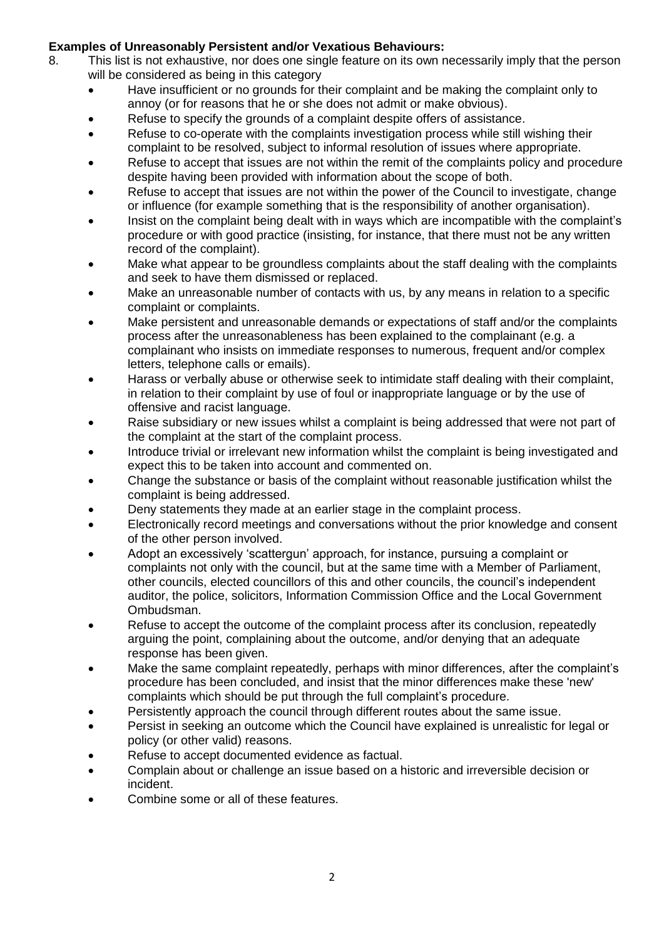## **Examples of Unreasonably Persistent and/or Vexatious Behaviours:**

- 8. This list is not exhaustive, nor does one single feature on its own necessarily imply that the person will be considered as being in this category
	- Have insufficient or no grounds for their complaint and be making the complaint only to annoy (or for reasons that he or she does not admit or make obvious).
	- Refuse to specify the grounds of a complaint despite offers of assistance.
	- Refuse to co-operate with the complaints investigation process while still wishing their complaint to be resolved, subject to informal resolution of issues where appropriate.
	- Refuse to accept that issues are not within the remit of the complaints policy and procedure despite having been provided with information about the scope of both.
	- Refuse to accept that issues are not within the power of the Council to investigate, change or influence (for example something that is the responsibility of another organisation).
	- Insist on the complaint being dealt with in ways which are incompatible with the complaint's procedure or with good practice (insisting, for instance, that there must not be any written record of the complaint).
	- Make what appear to be groundless complaints about the staff dealing with the complaints and seek to have them dismissed or replaced.
	- Make an unreasonable number of contacts with us, by any means in relation to a specific complaint or complaints.
	- Make persistent and unreasonable demands or expectations of staff and/or the complaints process after the unreasonableness has been explained to the complainant (e.g. a complainant who insists on immediate responses to numerous, frequent and/or complex letters, telephone calls or emails).
	- Harass or verbally abuse or otherwise seek to intimidate staff dealing with their complaint, in relation to their complaint by use of foul or inappropriate language or by the use of offensive and racist language.
	- Raise subsidiary or new issues whilst a complaint is being addressed that were not part of the complaint at the start of the complaint process.
	- Introduce trivial or irrelevant new information whilst the complaint is being investigated and expect this to be taken into account and commented on.
	- Change the substance or basis of the complaint without reasonable justification whilst the complaint is being addressed.
	- Deny statements they made at an earlier stage in the complaint process.
	- Electronically record meetings and conversations without the prior knowledge and consent of the other person involved.
	- Adopt an excessively 'scattergun' approach, for instance, pursuing a complaint or complaints not only with the council, but at the same time with a Member of Parliament, other councils, elected councillors of this and other councils, the council's independent auditor, the police, solicitors, Information Commission Office and the Local Government Ombudsman.
	- Refuse to accept the outcome of the complaint process after its conclusion, repeatedly arguing the point, complaining about the outcome, and/or denying that an adequate response has been given.
	- Make the same complaint repeatedly, perhaps with minor differences, after the complaint's procedure has been concluded, and insist that the minor differences make these 'new' complaints which should be put through the full complaint's procedure.
	- Persistently approach the council through different routes about the same issue.
	- Persist in seeking an outcome which the Council have explained is unrealistic for legal or policy (or other valid) reasons.
	- Refuse to accept documented evidence as factual.
	- Complain about or challenge an issue based on a historic and irreversible decision or incident.
	- Combine some or all of these features.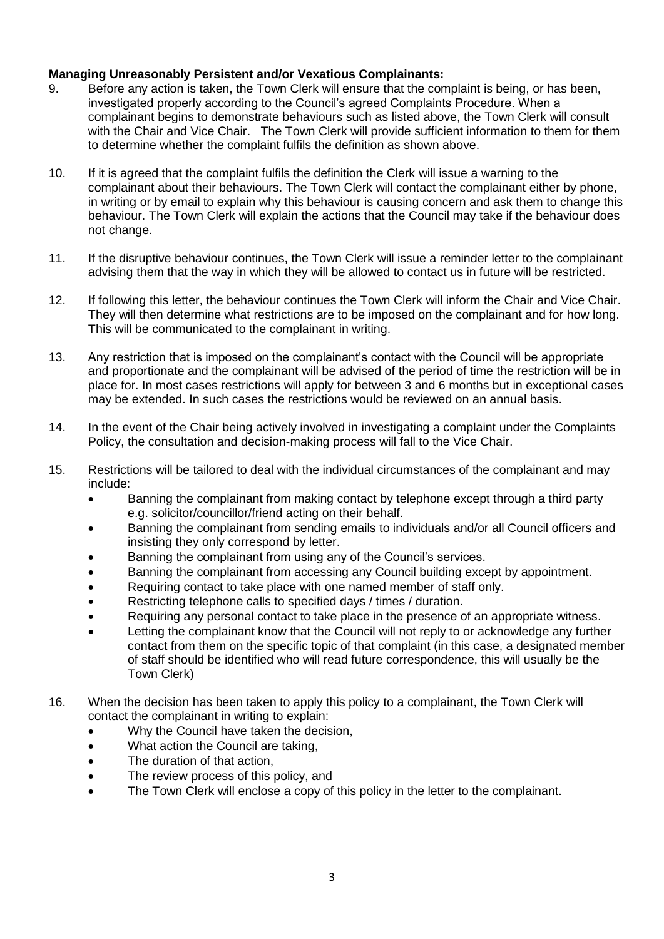## **Managing Unreasonably Persistent and/or Vexatious Complainants:**

- 9. Before any action is taken, the Town Clerk will ensure that the complaint is being, or has been, investigated properly according to the Council's agreed Complaints Procedure. When a complainant begins to demonstrate behaviours such as listed above, the Town Clerk will consult with the Chair and Vice Chair. The Town Clerk will provide sufficient information to them for them to determine whether the complaint fulfils the definition as shown above.
- 10. If it is agreed that the complaint fulfils the definition the Clerk will issue a warning to the complainant about their behaviours. The Town Clerk will contact the complainant either by phone, in writing or by email to explain why this behaviour is causing concern and ask them to change this behaviour. The Town Clerk will explain the actions that the Council may take if the behaviour does not change.
- 11. If the disruptive behaviour continues, the Town Clerk will issue a reminder letter to the complainant advising them that the way in which they will be allowed to contact us in future will be restricted.
- 12. If following this letter, the behaviour continues the Town Clerk will inform the Chair and Vice Chair. They will then determine what restrictions are to be imposed on the complainant and for how long. This will be communicated to the complainant in writing.
- 13. Any restriction that is imposed on the complainant's contact with the Council will be appropriate and proportionate and the complainant will be advised of the period of time the restriction will be in place for. In most cases restrictions will apply for between 3 and 6 months but in exceptional cases may be extended. In such cases the restrictions would be reviewed on an annual basis.
- 14. In the event of the Chair being actively involved in investigating a complaint under the Complaints Policy, the consultation and decision-making process will fall to the Vice Chair.
- 15. Restrictions will be tailored to deal with the individual circumstances of the complainant and may include:
	- Banning the complainant from making contact by telephone except through a third party e.g. solicitor/councillor/friend acting on their behalf.
	- Banning the complainant from sending emails to individuals and/or all Council officers and insisting they only correspond by letter.
	- Banning the complainant from using any of the Council's services.
	- Banning the complainant from accessing any Council building except by appointment.
	- Requiring contact to take place with one named member of staff only.
	- Restricting telephone calls to specified days / times / duration.
	- Requiring any personal contact to take place in the presence of an appropriate witness.
	- Letting the complainant know that the Council will not reply to or acknowledge any further contact from them on the specific topic of that complaint (in this case, a designated member of staff should be identified who will read future correspondence, this will usually be the Town Clerk)
- 16. When the decision has been taken to apply this policy to a complainant, the Town Clerk will contact the complainant in writing to explain:
	- Why the Council have taken the decision,
	- What action the Council are taking.
	- The duration of that action,
	- The review process of this policy, and
	- The Town Clerk will enclose a copy of this policy in the letter to the complainant.